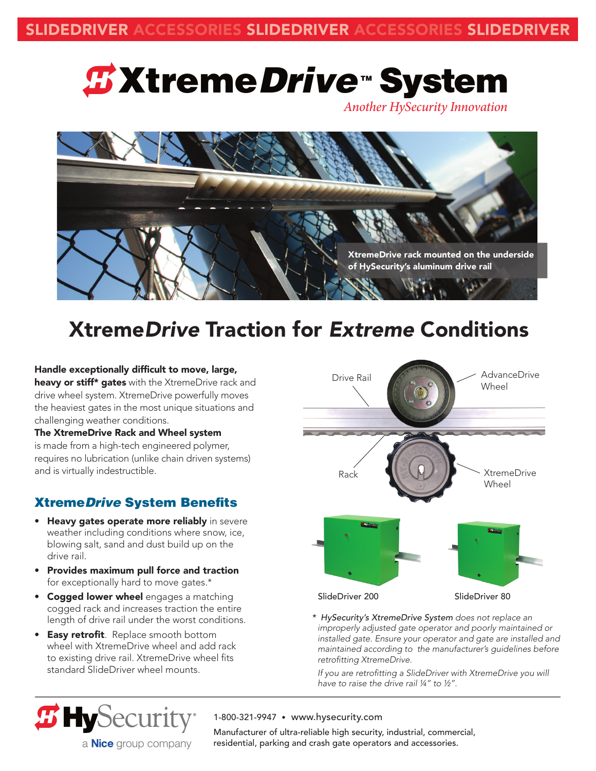# *⊈XtremeDrive* **™System**

*Another HySecurity Innovation*



### Xtreme*Drive* Traction for *Extreme* Conditions

### Handle exceptionally difficult to move, large,

heavy or stiff\* gates with the XtremeDrive rack and drive wheel system. XtremeDrive powerfully moves the heaviest gates in the most unique situations and challenging weather conditions.

### The XtremeDrive Rack and Wheel system is made from a high-tech engineered polymer, requires no lubrication (unlike chain driven systems) and is virtually indestructible.

### XtremeDrive System Benefits

- Heavy gates operate more reliably in severe weather including conditions where snow, ice, blowing salt, sand and dust build up on the drive rail.
- Provides maximum pull force and traction for exceptionally hard to move gates.\*
- Cogged lower wheel engages a matching cogged rack and increases traction the entire length of drive rail under the worst conditions.
- Easy retrofit. Replace smooth bottom wheel with XtremeDrive wheel and add rack to existing drive rail. XtremeDrive wheel fits standard SlideDriver wheel mounts.

a **Nice** group company

 $\boldsymbol{\mathcal{B}}$  HySecurity



*\* HySecurity's XtremeDrive System does not replace an improperly adjusted gate operator and poorly maintained or installed gate. Ensure your operator and gate are installed and maintained according to the manufacturer's guidelines before*  retrofitting XtremeDrive.

If you are retrofitting a SlideDriver with XtremeDrive you will have to raise the drive rail  $\frac{1}{4}$ " to  $\frac{1}{2}$ ".

### 1-800-321-9947 • www.hysecurity.com

Manufacturer of ultra-reliable high security, industrial, commercial, residential, parking and crash gate operators and accessories.